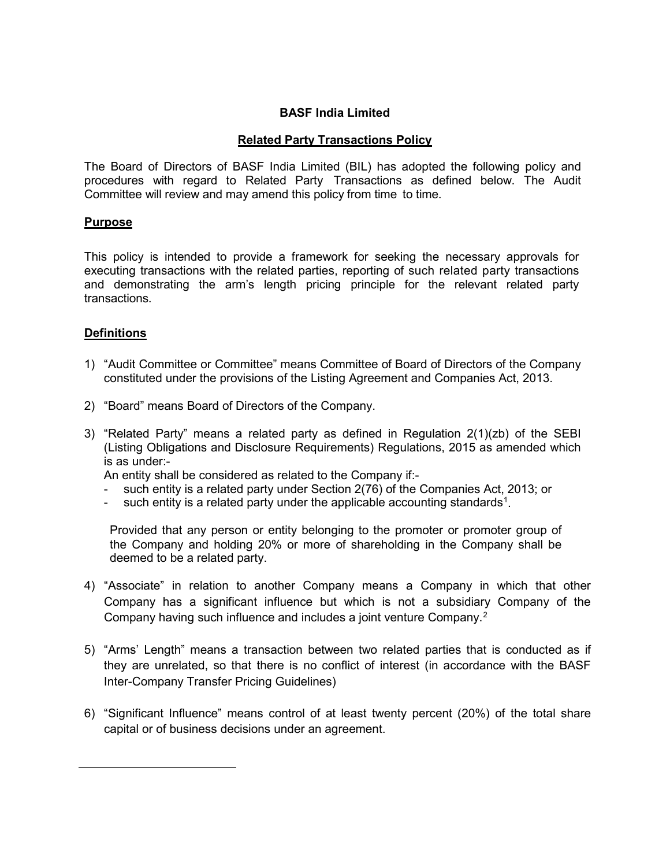#### **BASF India Limited**

### **Related Party Transactions Policy**

The Board of Directors of BASF India Limited (BIL) has adopted the following policy and procedures with regard to Related Party Transactions as defined below. The Audit Committee will review and may amend this policy from time to time.

#### **Purpose**

This policy is intended to provide a framework for seeking the necessary approvals for executing transactions with the related parties, reporting of such related party transactions and demonstrating the arm's length pricing principle for the relevant related party transactions.

#### **Definitions**

<span id="page-0-1"></span><span id="page-0-0"></span> $\ddot{ }$ 

- 1) "Audit Committee or Committee" means Committee of Board of Directors of the Company constituted under the provisions of the Listing Agreement and Companies Act, 2013.
- 2) "Board" means Board of Directors of the Company.
- 3) "Related Party" means a related party as defined in Regulation 2(1)(zb) of the SEBI (Listing Obligations and Disclosure Requirements) Regulations, 2015 as amended which is as under:-

An entity shall be considered as related to the Company if:-

- such entity is a related party under Section 2(76) of the Companies Act, 2013; or
- such entity is a related party under the applicable accounting standards<sup>[1](#page-0-0)</sup>.

Provided that any person or entity belonging to the promoter or promoter group of the Company and holding 20% or more of shareholding in the Company shall be deemed to be a related party.

- 4) "Associate" in relation to another Company means a Company in which that other Company has a significant influence but which is not a subsidiary Company of the Company having such influence and includes a joint venture Company.[2](#page-0-1)
- 5) "Arms' Length" means a transaction between two related parties that is conducted as if they are unrelated, so that there is no conflict of interest (in accordance with the BASF Inter-Company Transfer Pricing Guidelines)
- 6) "Significant Influence" means control of at least twenty percent (20%) of the total share capital or of business decisions under an agreement.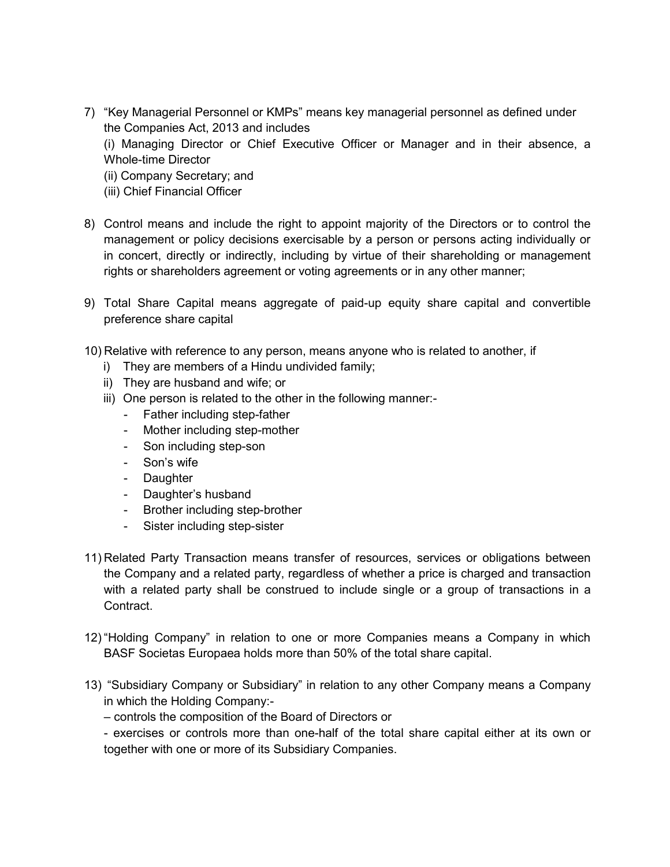- 7) "Key Managerial Personnel or KMPs" means key managerial personnel as defined under the Companies Act, 2013 and includes (i) Managing Director or Chief Executive Officer or Manager and in their absence, a
	- Whole-time Director
	- (ii) Company Secretary; and
	- (iii) Chief Financial Officer
- 8) Control means and include the right to appoint majority of the Directors or to control the management or policy decisions exercisable by a person or persons acting individually or in concert, directly or indirectly, including by virtue of their shareholding or management rights or shareholders agreement or voting agreements or in any other manner;
- 9) Total Share Capital means aggregate of paid-up equity share capital and convertible preference share capital
- 10) Relative with reference to any person, means anyone who is related to another, if
	- i) They are members of a Hindu undivided family;
	- ii) They are husband and wife; or
	- iii) One person is related to the other in the following manner:-
		- Father including step-father
		- Mother including step-mother
		- Son including step-son
		- Son's wife
		- Daughter
		- Daughter's husband
		- Brother including step-brother
		- Sister including step-sister
- 11) Related Party Transaction means transfer of resources, services or obligations between the Company and a related party, regardless of whether a price is charged and transaction with a related party shall be construed to include single or a group of transactions in a Contract.
- 12) "Holding Company" in relation to one or more Companies means a Company in which BASF Societas Europaea holds more than 50% of the total share capital.
- 13) "Subsidiary Company or Subsidiary" in relation to any other Company means a Company in which the Holding Company:-
	- controls the composition of the Board of Directors or

- exercises or controls more than one-half of the total share capital either at its own or together with one or more of its Subsidiary Companies.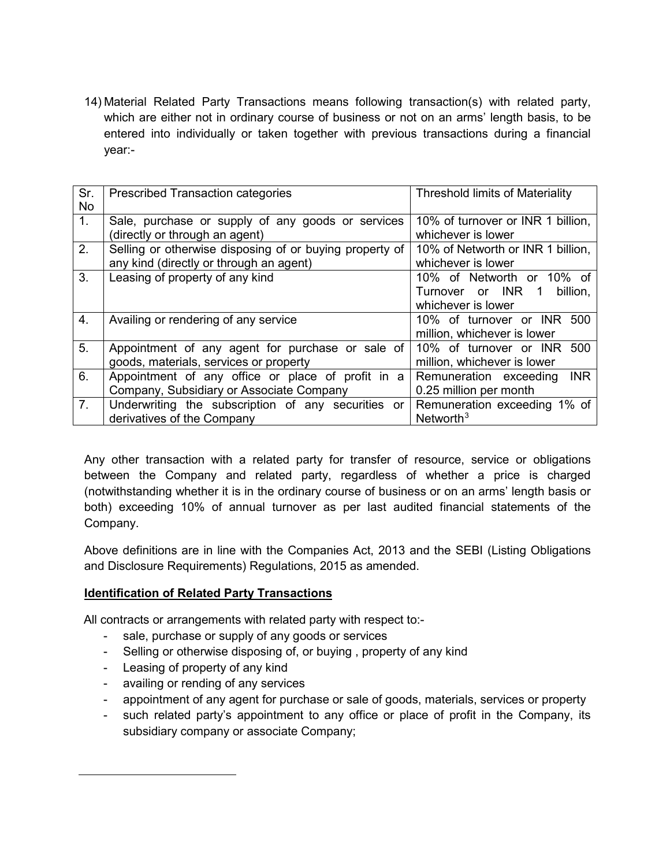14) Material Related Party Transactions means following transaction(s) with related party, which are either not in ordinary course of business or not on an arms' length basis, to be entered into individually or taken together with previous transactions during a financial year:-

| Sr.            | <b>Prescribed Transaction categories</b>                | <b>Threshold limits of Materiality</b> |
|----------------|---------------------------------------------------------|----------------------------------------|
| <b>No</b>      |                                                         |                                        |
| 1 <sub>1</sub> | Sale, purchase or supply of any goods or services       | 10% of turnover or INR 1 billion,      |
|                | (directly or through an agent)                          | whichever is lower                     |
| 2.             | Selling or otherwise disposing of or buying property of | 10% of Networth or INR 1 billion.      |
|                | any kind (directly or through an agent)                 | whichever is lower                     |
| 3.             | Leasing of property of any kind                         | 10% of Networth or 10% of              |
|                |                                                         | Turnover or INR 1<br>billion,          |
|                |                                                         | whichever is lower                     |
| 4.             | Availing or rendering of any service                    | 10% of turnover or INR 500             |
|                |                                                         | million, whichever is lower            |
| 5.             | Appointment of any agent for purchase or sale of        | 10% of turnover or INR 500             |
|                | goods, materials, services or property                  | million, whichever is lower            |
| 6.             | Appointment of any office or place of profit in a       | Remuneration exceeding<br><b>INR</b>   |
|                | Company, Subsidiary or Associate Company                | 0.25 million per month                 |
| 7.             | Underwriting the subscription of any securities or      | Remuneration exceeding 1% of           |
|                | derivatives of the Company                              | Networth <sup>3</sup>                  |

Any other transaction with a related party for transfer of resource, service or obligations between the Company and related party, regardless of whether a price is charged (notwithstanding whether it is in the ordinary course of business or on an arms' length basis or both) exceeding 10% of annual turnover as per last audited financial statements of the Company.

Above definitions are in line with the Companies Act, 2013 and the SEBI (Listing Obligations and Disclosure Requirements) Regulations, 2015 as amended.

### **Identification of Related Party Transactions**

All contracts or arrangements with related party with respect to:-

- sale, purchase or supply of any goods or services
- Selling or otherwise disposing of, or buying , property of any kind
- Leasing of property of any kind

<span id="page-2-0"></span> $\ddot{ }$ 

- availing or rending of any services
- appointment of any agent for purchase or sale of goods, materials, services or property
- such related party's appointment to any office or place of profit in the Company, its subsidiary company or associate Company;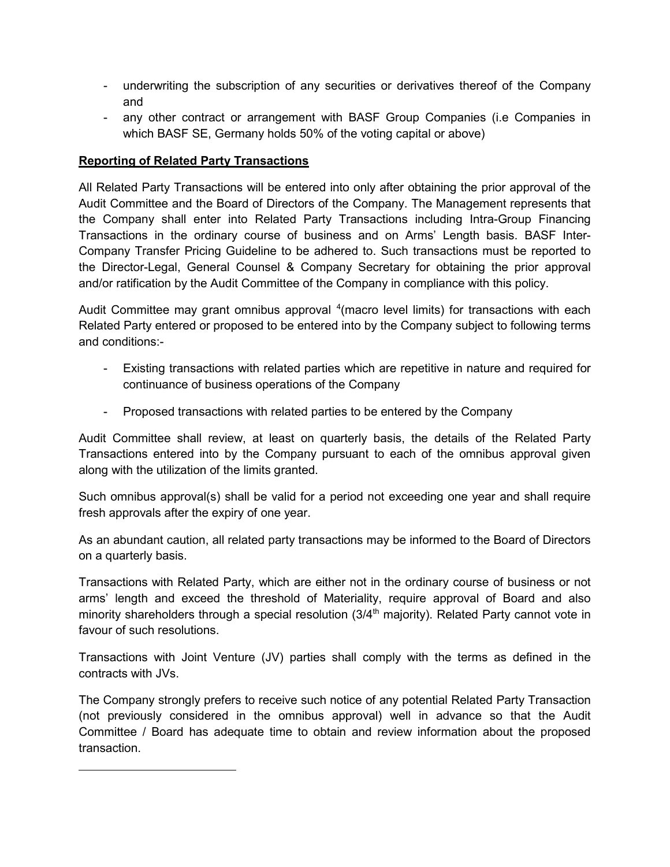- underwriting the subscription of any securities or derivatives thereof of the Company and
- any other contract or arrangement with BASF Group Companies (i.e Companies in which BASF SE, Germany holds 50% of the voting capital or above)

### **Reporting of Related Party Transactions**

<span id="page-3-0"></span> $\ddot{ }$ 

All Related Party Transactions will be entered into only after obtaining the prior approval of the Audit Committee and the Board of Directors of the Company. The Management represents that the Company shall enter into Related Party Transactions including Intra-Group Financing Transactions in the ordinary course of business and on Arms' Length basis. BASF Inter-Company Transfer Pricing Guideline to be adhered to. Such transactions must be reported to the Director-Legal, General Counsel & Company Secretary for obtaining the prior approval and/or ratification by the Audit Committee of the Company in compliance with this policy.

Audit Committee may grant omnibus approval <sup>[4](#page-3-0)</sup> (macro level limits) for transactions with each Related Party entered or proposed to be entered into by the Company subject to following terms and conditions:-

- Existing transactions with related parties which are repetitive in nature and required for continuance of business operations of the Company
- Proposed transactions with related parties to be entered by the Company

Audit Committee shall review, at least on quarterly basis, the details of the Related Party Transactions entered into by the Company pursuant to each of the omnibus approval given along with the utilization of the limits granted.

Such omnibus approval(s) shall be valid for a period not exceeding one year and shall require fresh approvals after the expiry of one year.

As an abundant caution, all related party transactions may be informed to the Board of Directors on a quarterly basis.

Transactions with Related Party, which are either not in the ordinary course of business or not arms' length and exceed the threshold of Materiality, require approval of Board and also minority shareholders through a special resolution (3/4<sup>th</sup> majority). Related Party cannot vote in favour of such resolutions.

Transactions with Joint Venture (JV) parties shall comply with the terms as defined in the contracts with JVs.

The Company strongly prefers to receive such notice of any potential Related Party Transaction (not previously considered in the omnibus approval) well in advance so that the Audit Committee / Board has adequate time to obtain and review information about the proposed transaction.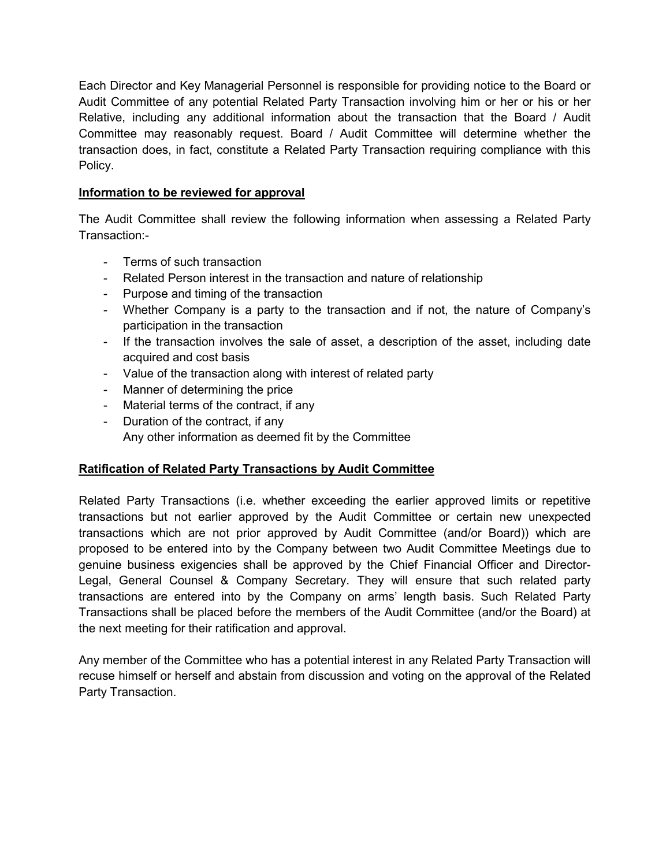Each Director and Key Managerial Personnel is responsible for providing notice to the Board or Audit Committee of any potential Related Party Transaction involving him or her or his or her Relative, including any additional information about the transaction that the Board / Audit Committee may reasonably request. Board / Audit Committee will determine whether the transaction does, in fact, constitute a Related Party Transaction requiring compliance with this Policy.

### **Information to be reviewed for approval**

The Audit Committee shall review the following information when assessing a Related Party Transaction:-

- Terms of such transaction
- Related Person interest in the transaction and nature of relationship
- Purpose and timing of the transaction
- Whether Company is a party to the transaction and if not, the nature of Company's participation in the transaction
- If the transaction involves the sale of asset, a description of the asset, including date acquired and cost basis
- Value of the transaction along with interest of related party
- Manner of determining the price
- Material terms of the contract, if any
- Duration of the contract, if any Any other information as deemed fit by the Committee

# **Ratification of Related Party Transactions by Audit Committee**

Related Party Transactions (i.e. whether exceeding the earlier approved limits or repetitive transactions but not earlier approved by the Audit Committee or certain new unexpected transactions which are not prior approved by Audit Committee (and/or Board)) which are proposed to be entered into by the Company between two Audit Committee Meetings due to genuine business exigencies shall be approved by the Chief Financial Officer and Director-Legal, General Counsel & Company Secretary. They will ensure that such related party transactions are entered into by the Company on arms' length basis. Such Related Party Transactions shall be placed before the members of the Audit Committee (and/or the Board) at the next meeting for their ratification and approval.

Any member of the Committee who has a potential interest in any Related Party Transaction will recuse himself or herself and abstain from discussion and voting on the approval of the Related Party Transaction.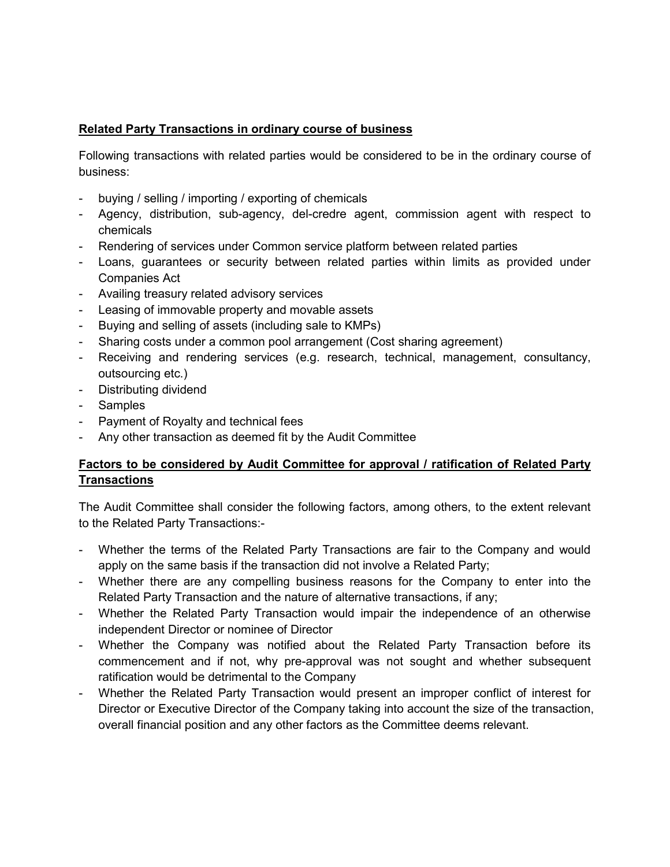## **Related Party Transactions in ordinary course of business**

Following transactions with related parties would be considered to be in the ordinary course of business:

- buying / selling / importing / exporting of chemicals
- Agency, distribution, sub-agency, del-credre agent, commission agent with respect to chemicals
- Rendering of services under Common service platform between related parties
- Loans, guarantees or security between related parties within limits as provided under Companies Act
- Availing treasury related advisory services
- Leasing of immovable property and movable assets
- Buying and selling of assets (including sale to KMPs)
- Sharing costs under a common pool arrangement (Cost sharing agreement)
- Receiving and rendering services (e.g. research, technical, management, consultancy, outsourcing etc.)
- Distributing dividend
- Samples
- Payment of Royalty and technical fees
- Any other transaction as deemed fit by the Audit Committee

# **Factors to be considered by Audit Committee for approval / ratification of Related Party Transactions**

The Audit Committee shall consider the following factors, among others, to the extent relevant to the Related Party Transactions:-

- Whether the terms of the Related Party Transactions are fair to the Company and would apply on the same basis if the transaction did not involve a Related Party;
- Whether there are any compelling business reasons for the Company to enter into the Related Party Transaction and the nature of alternative transactions, if any;
- Whether the Related Party Transaction would impair the independence of an otherwise independent Director or nominee of Director
- Whether the Company was notified about the Related Party Transaction before its commencement and if not, why pre-approval was not sought and whether subsequent ratification would be detrimental to the Company
- Whether the Related Party Transaction would present an improper conflict of interest for Director or Executive Director of the Company taking into account the size of the transaction, overall financial position and any other factors as the Committee deems relevant.